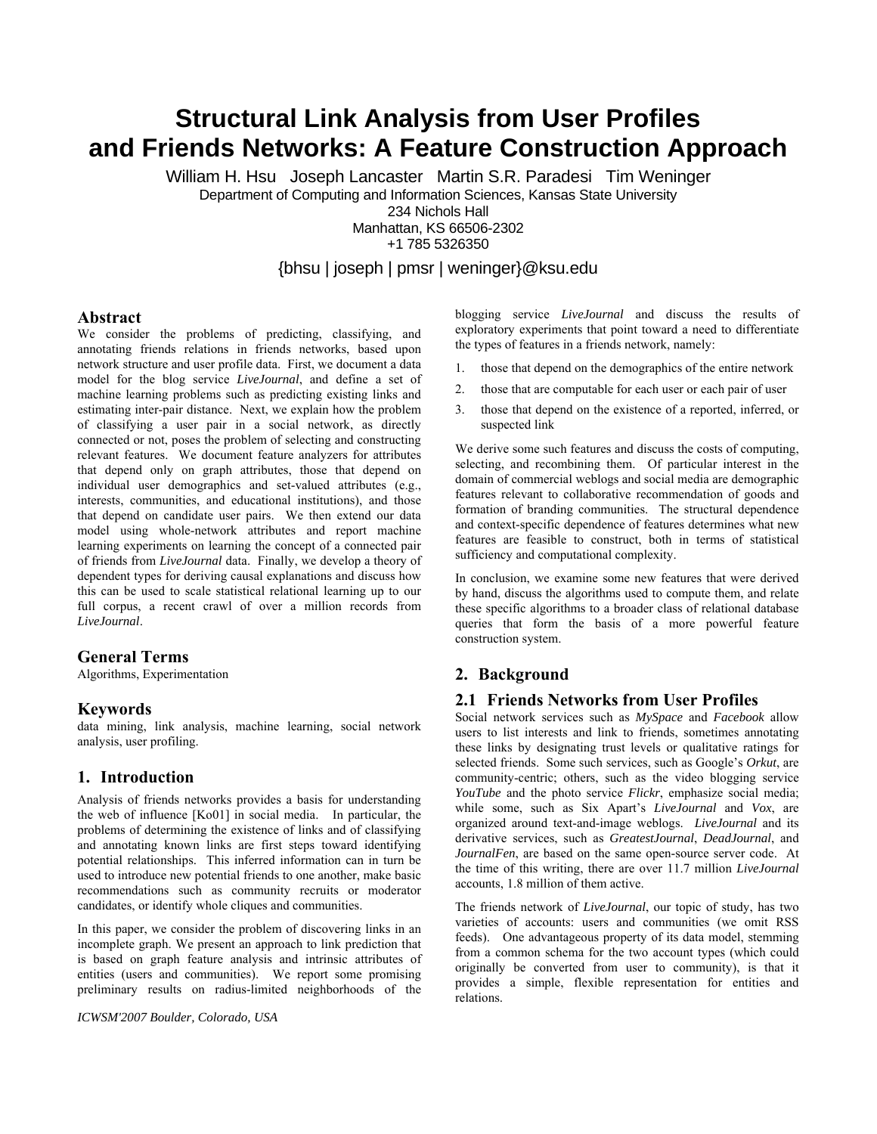# **Structural Link Analysis from User Profiles and Friends Networks: A Feature Construction Approach**

William H. Hsu Joseph Lancaster Martin S.R. Paradesi Tim Weninger Department of Computing and Information Sciences, Kansas State University

234 Nichols Hall

Manhattan, KS 66506-2302 +1 785 5326350

{bhsu | joseph | pmsr | weninger}@ksu.edu

# **Abstract**

We consider the problems of predicting, classifying, and annotating friends relations in friends networks, based upon network structure and user profile data. First, we document a data model for the blog service *LiveJournal*, and define a set of machine learning problems such as predicting existing links and estimating inter-pair distance. Next, we explain how the problem of classifying a user pair in a social network, as directly connected or not, poses the problem of selecting and constructing relevant features. We document feature analyzers for attributes that depend only on graph attributes, those that depend on individual user demographics and set-valued attributes (e.g., interests, communities, and educational institutions), and those that depend on candidate user pairs. We then extend our data model using whole-network attributes and report machine learning experiments on learning the concept of a connected pair of friends from *LiveJournal* data. Finally, we develop a theory of dependent types for deriving causal explanations and discuss how this can be used to scale statistical relational learning up to our full corpus, a recent crawl of over a million records from *LiveJournal*.

# **General Terms**

Algorithms, Experimentation

# **Keywords**

data mining, link analysis, machine learning, social network analysis, user profiling.

# **1. Introduction**

Analysis of friends networks provides a basis for understanding the web of influence [Ko01] in social media. In particular, the problems of determining the existence of links and of classifying and annotating known links are first steps toward identifying potential relationships. This inferred information can in turn be used to introduce new potential friends to one another, make basic recommendations such as community recruits or moderator candidates, or identify whole cliques and communities.

In this paper, we consider the problem of discovering links in an incomplete graph. We present an approach to link prediction that is based on graph feature analysis and intrinsic attributes of entities (users and communities). We report some promising preliminary results on radius-limited neighborhoods of the

*ICWSM'2007 Boulder, Colorado, USA* 

blogging service *LiveJournal* and discuss the results of exploratory experiments that point toward a need to differentiate the types of features in a friends network, namely:

- 1. those that depend on the demographics of the entire network
- 2. those that are computable for each user or each pair of user
- 3. those that depend on the existence of a reported, inferred, or suspected link

We derive some such features and discuss the costs of computing, selecting, and recombining them. Of particular interest in the domain of commercial weblogs and social media are demographic features relevant to collaborative recommendation of goods and formation of branding communities. The structural dependence and context-specific dependence of features determines what new features are feasible to construct, both in terms of statistical sufficiency and computational complexity.

In conclusion, we examine some new features that were derived by hand, discuss the algorithms used to compute them, and relate these specific algorithms to a broader class of relational database queries that form the basis of a more powerful feature construction system.

# **2. Background**

# **2.1 Friends Networks from User Profiles**

Social network services such as *MySpace* and *Facebook* allow users to list interests and link to friends, sometimes annotating these links by designating trust levels or qualitative ratings for selected friends. Some such services, such as Google's *Orkut*, are community-centric; others, such as the video blogging service *YouTube* and the photo service *Flickr*, emphasize social media; while some, such as Six Apart's *LiveJournal* and *Vox*, are organized around text-and-image weblogs. *LiveJournal* and its derivative services, such as *GreatestJournal*, *DeadJournal*, and *JournalFen*, are based on the same open-source server code. At the time of this writing, there are over 11.7 million *LiveJournal* accounts, 1.8 million of them active.

The friends network of *LiveJournal*, our topic of study, has two varieties of accounts: users and communities (we omit RSS feeds). One advantageous property of its data model, stemming from a common schema for the two account types (which could originally be converted from user to community), is that it provides a simple, flexible representation for entities and relations.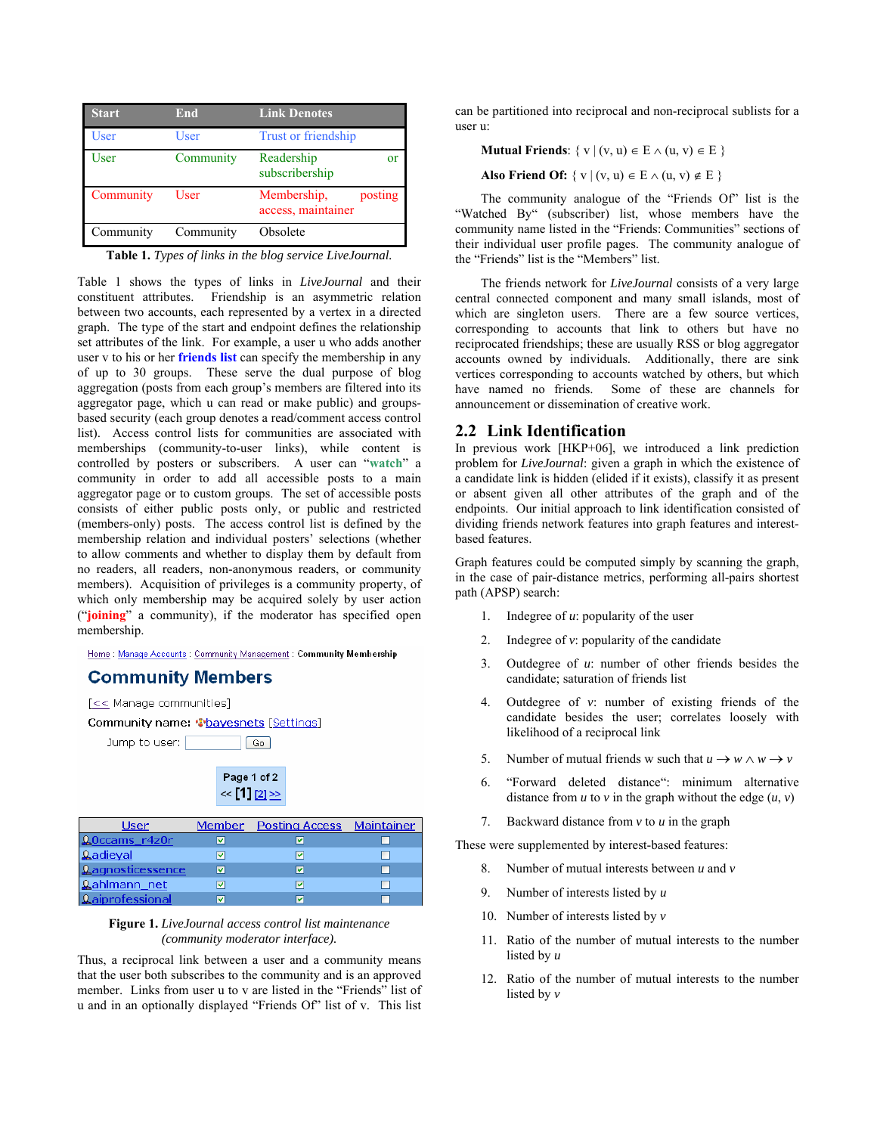| <b>Start</b> | End       | <b>Link Denotes</b>                          |
|--------------|-----------|----------------------------------------------|
| <b>User</b>  | User      | Trust or friendship                          |
| User         | Community | Readership<br>or<br>subscribership           |
| Community    | User      | Membership,<br>posting<br>access, maintainer |
| Community    | Community | Obsolete                                     |

**Table 1.** *Types of links in the blog service LiveJournal.*

Table 1 shows the types of links in *LiveJournal* and their constituent attributes. Friendship is an asymmetric relation between two accounts, each represented by a vertex in a directed graph. The type of the start and endpoint defines the relationship set attributes of the link. For example, a user u who adds another user v to his or her **friends list** can specify the membership in any of up to 30 groups. These serve the dual purpose of blog aggregation (posts from each group's members are filtered into its aggregator page, which u can read or make public) and groupsbased security (each group denotes a read/comment access control list). Access control lists for communities are associated with memberships (community-to-user links), while content is controlled by posters or subscribers. A user can "**watch**" a community in order to add all accessible posts to a main aggregator page or to custom groups. The set of accessible posts consists of either public posts only, or public and restricted (members-only) posts. The access control list is defined by the membership relation and individual posters' selections (whether to allow comments and whether to display them by default from no readers, all readers, non-anonymous readers, or community members). Acquisition of privileges is a community property, of which only membership may be acquired solely by user action ("**joining**" a community), if the moderator has specified open membership.

Home: Manage Accounts: Community Management: Community Membership

# **Community Members**

[<< Manage communities]

```
Community name: : bayesnets [Settings]
```




| User                  | Member   | <b>Posting Access</b> | Maintainer |
|-----------------------|----------|-----------------------|------------|
| Q0ccams_r4z0r         |          |                       |            |
| Ladieyal              | M        | ◛                     |            |
| Lagnosticessence      | ≂        | ⊽                     |            |
| <b>Lahlmann_net</b>   |          | M                     |            |
| $\Box$ ainvofaccional | <b>R</b> | ы                     |            |

#### **Figure 1.** *LiveJournal access control list maintenance (community moderator interface).*

Thus, a reciprocal link between a user and a community means that the user both subscribes to the community and is an approved member. Links from user u to v are listed in the "Friends" list of u and in an optionally displayed "Friends Of" list of v. This list can be partitioned into reciprocal and non-reciprocal sublists for a user u:

**Mutual Friends**: {  $v | (v, u) \in E \wedge (u, v) \in E$  }

**Also Friend Of:**  $\{ v | (v, u) \in E \land (u, v) \notin E \}$ 

The community analogue of the "Friends Of" list is the "Watched By" (subscriber) list, whose members have the community name listed in the "Friends: Communities" sections of their individual user profile pages. The community analogue of the "Friends" list is the "Members" list.

The friends network for *LiveJournal* consists of a very large central connected component and many small islands, most of which are singleton users. There are a few source vertices, corresponding to accounts that link to others but have no reciprocated friendships; these are usually RSS or blog aggregator accounts owned by individuals. Additionally, there are sink vertices corresponding to accounts watched by others, but which have named no friends. Some of these are channels for Some of these are channels for announcement or dissemination of creative work.

#### **2.2 Link Identification**

In previous work [HKP+06], we introduced a link prediction problem for *LiveJournal*: given a graph in which the existence of a candidate link is hidden (elided if it exists), classify it as present or absent given all other attributes of the graph and of the endpoints. Our initial approach to link identification consisted of dividing friends network features into graph features and interestbased features.

Graph features could be computed simply by scanning the graph, in the case of pair-distance metrics, performing all-pairs shortest path (APSP) search:

- 1. Indegree of *u*: popularity of the user
- 2. Indegree of *v*: popularity of the candidate
- 3. Outdegree of *u*: number of other friends besides the candidate; saturation of friends list
- 4. Outdegree of *v*: number of existing friends of the candidate besides the user; correlates loosely with likelihood of a reciprocal link
- 5. Number of mutual friends w such that  $u \to w \land w \to v$
- 6. "Forward deleted distance": minimum alternative distance from *u* to *v* in the graph without the edge  $(u, v)$
- 7. Backward distance from *v* to *u* in the graph

These were supplemented by interest-based features:

- 8. Number of mutual interests between *u* and *v*
- 9. Number of interests listed by *u*
- 10. Number of interests listed by *v*
- 11. Ratio of the number of mutual interests to the number listed by *u*
- 12. Ratio of the number of mutual interests to the number listed by *v*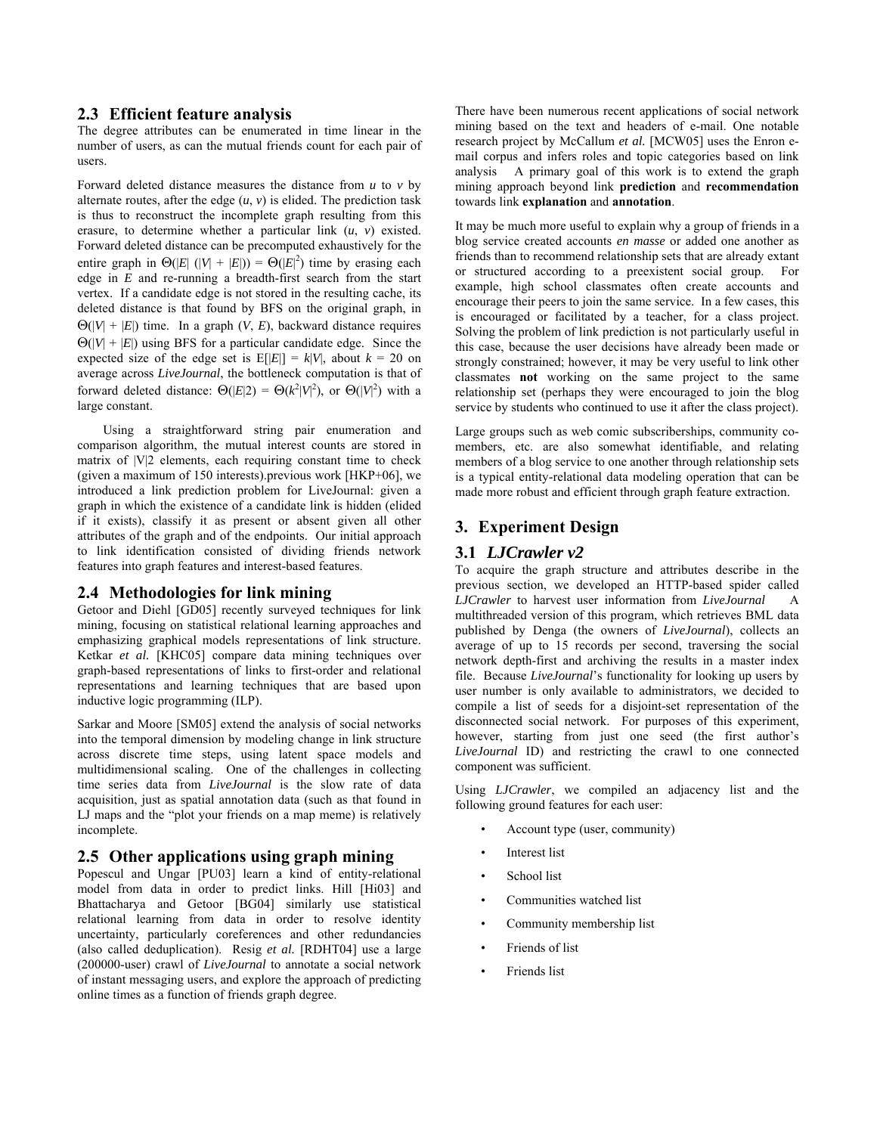## **2.3 Efficient feature analysis**

The degree attributes can be enumerated in time linear in the number of users, as can the mutual friends count for each pair of users.

Forward deleted distance measures the distance from *u* to *v* by alternate routes, after the edge  $(u, v)$  is elided. The prediction task is thus to reconstruct the incomplete graph resulting from this erasure, to determine whether a particular link (*u*, *v*) existed. Forward deleted distance can be precomputed exhaustively for the entire graph in  $\Theta(|E|(|V| + |E|)) = \Theta(|E|^2)$  time by erasing each edge in *E* and re-running a breadth-first search from the start vertex. If a candidate edge is not stored in the resulting cache, its deleted distance is that found by BFS on the original graph, in  $\Theta(|V| + |E|)$  time. In a graph  $(V, E)$ , backward distance requires  $\Theta(|V| + |E|)$  using BFS for a particular candidate edge. Since the expected size of the edge set is  $E[|E|] = k|V|$ , about  $k = 20$  on average across *LiveJournal*, the bottleneck computation is that of forward deleted distance:  $\Theta(|E|2) = \Theta(k^2|V|^2)$ , or  $\Theta(|V|^2)$  with a large constant.

Using a straightforward string pair enumeration and comparison algorithm, the mutual interest counts are stored in matrix of |V|2 elements, each requiring constant time to check (given a maximum of 150 interests).previous work [HKP+06], we introduced a link prediction problem for LiveJournal: given a graph in which the existence of a candidate link is hidden (elided if it exists), classify it as present or absent given all other attributes of the graph and of the endpoints. Our initial approach to link identification consisted of dividing friends network features into graph features and interest-based features.

## **2.4 Methodologies for link mining**

Getoor and Diehl [GD05] recently surveyed techniques for link mining, focusing on statistical relational learning approaches and emphasizing graphical models representations of link structure. Ketkar et al. [KHC05] compare data mining techniques over graph-based representations of links to first-order and relational representations and learning techniques that are based upon inductive logic programming (ILP).

Sarkar and Moore [SM05] extend the analysis of social networks into the temporal dimension by modeling change in link structure across discrete time steps, using latent space models and multidimensional scaling. One of the challenges in collecting time series data from *LiveJournal* is the slow rate of data acquisition, just as spatial annotation data (such as that found in LJ maps and the "plot your friends on a map meme) is relatively incomplete.

## **2.5 Other applications using graph mining**

Popescul and Ungar [PU03] learn a kind of entity-relational model from data in order to predict links. Hill [Hi03] and Bhattacharya and Getoor [BG04] similarly use statistical relational learning from data in order to resolve identity uncertainty, particularly coreferences and other redundancies (also called deduplication). Resig *et al.* [RDHT04] use a large (200000-user) crawl of *LiveJournal* to annotate a social network of instant messaging users, and explore the approach of predicting online times as a function of friends graph degree.

There have been numerous recent applications of social network mining based on the text and headers of e-mail. One notable research project by McCallum *et al.* [MCW05] uses the Enron email corpus and infers roles and topic categories based on link analysis A primary goal of this work is to extend the graph mining approach beyond link **prediction** and **recommendation**  towards link **explanation** and **annotation**.

It may be much more useful to explain why a group of friends in a blog service created accounts *en masse* or added one another as friends than to recommend relationship sets that are already extant or structured according to a preexistent social group. For example, high school classmates often create accounts and encourage their peers to join the same service. In a few cases, this is encouraged or facilitated by a teacher, for a class project. Solving the problem of link prediction is not particularly useful in this case, because the user decisions have already been made or strongly constrained; however, it may be very useful to link other classmates **not** working on the same project to the same relationship set (perhaps they were encouraged to join the blog service by students who continued to use it after the class project).

Large groups such as web comic subscriberships, community comembers, etc. are also somewhat identifiable, and relating members of a blog service to one another through relationship sets is a typical entity-relational data modeling operation that can be made more robust and efficient through graph feature extraction.

# **3. Experiment Design**

## **3.1** *LJCrawler v2*

To acquire the graph structure and attributes describe in the previous section, we developed an HTTP-based spider called *LJCrawler* to harvest user information from *LiveJournal* A multithreaded version of this program, which retrieves BML data published by Denga (the owners of *LiveJournal*), collects an average of up to 15 records per second, traversing the social network depth-first and archiving the results in a master index file. Because *LiveJournal*'s functionality for looking up users by user number is only available to administrators, we decided to compile a list of seeds for a disjoint-set representation of the disconnected social network. For purposes of this experiment, however, starting from just one seed (the first author's *LiveJournal* ID) and restricting the crawl to one connected component was sufficient.

Using *LJCrawler*, we compiled an adjacency list and the following ground features for each user:

- Account type (user, community)
- Interest list
- School list
- Communities watched list
- Community membership list
- Friends of list
- Friends list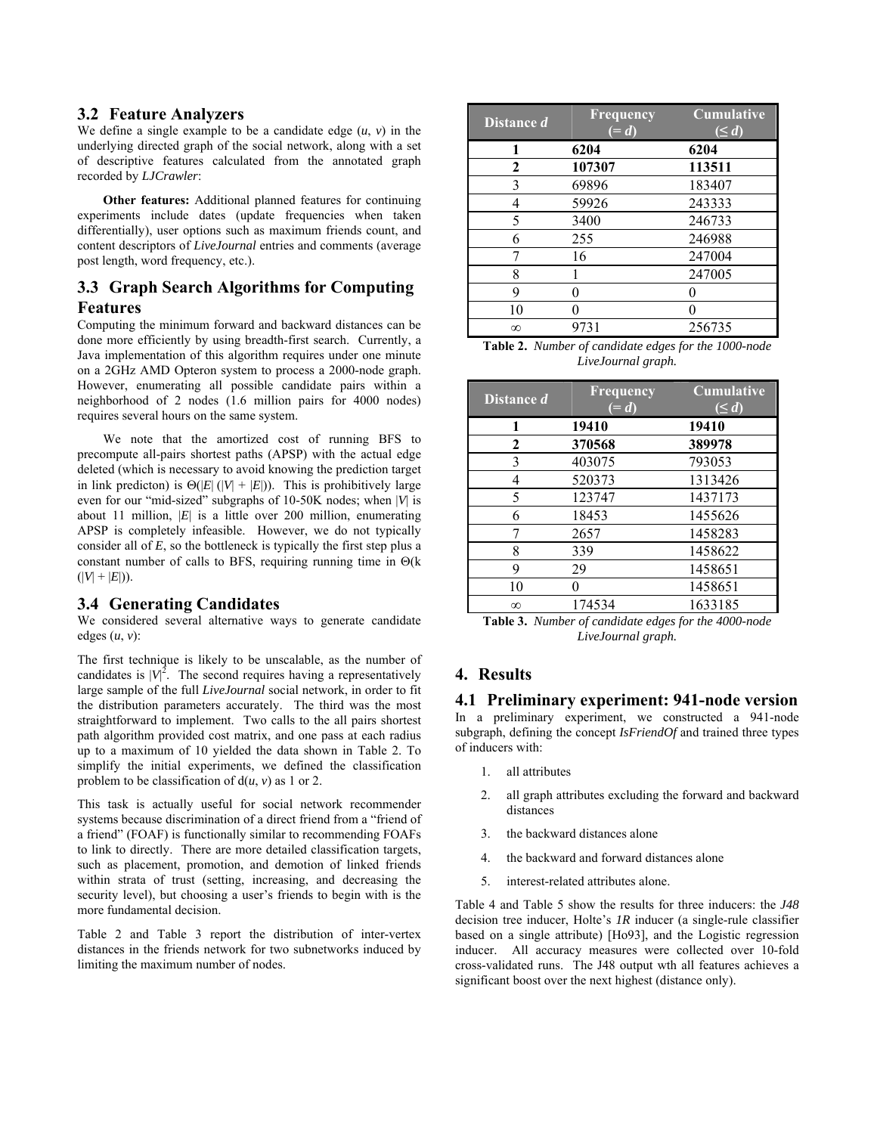## **3.2 Feature Analyzers**

We define a single example to be a candidate edge  $(u, v)$  in the underlying directed graph of the social network, along with a set of descriptive features calculated from the annotated graph recorded by *LJCrawler*:

**Other features:** Additional planned features for continuing experiments include dates (update frequencies when taken differentially), user options such as maximum friends count, and content descriptors of *LiveJournal* entries and comments (average post length, word frequency, etc.).

# **3.3 Graph Search Algorithms for Computing Features**

Computing the minimum forward and backward distances can be done more efficiently by using breadth-first search. Currently, a Java implementation of this algorithm requires under one minute on a 2GHz AMD Opteron system to process a 2000-node graph. However, enumerating all possible candidate pairs within a neighborhood of 2 nodes (1.6 million pairs for 4000 nodes) requires several hours on the same system.

We note that the amortized cost of running BFS to precompute all-pairs shortest paths (APSP) with the actual edge deleted (which is necessary to avoid knowing the prediction target in link predicton) is  $\Theta(|E|(|V| + |E|))$ . This is prohibitively large even for our "mid-sized" subgraphs of 10-50K nodes; when |*V*| is about 11 million, |*E*| is a little over 200 million, enumerating APSP is completely infeasible. However, we do not typically consider all of *E*, so the bottleneck is typically the first step plus a constant number of calls to BFS, requiring running time in  $\Theta(k)$  $(|V| + |E|)$ .

## **3.4 Generating Candidates**

We considered several alternative ways to generate candidate edges  $(u, v)$ :

The first technique is likely to be unscalable, as the number of candidates is  $|V|^2$ . The second requires having a representatively large sample of the full *LiveJournal* social network, in order to fit the distribution parameters accurately. The third was the most straightforward to implement. Two calls to the all pairs shortest path algorithm provided cost matrix, and one pass at each radius up to a maximum of 10 yielded the data shown in Table 2. To simplify the initial experiments, we defined the classification problem to be classification of  $d(u, v)$  as 1 or 2.

This task is actually useful for social network recommender systems because discrimination of a direct friend from a "friend of a friend" (FOAF) is functionally similar to recommending FOAFs to link to directly. There are more detailed classification targets, such as placement, promotion, and demotion of linked friends within strata of trust (setting, increasing, and decreasing the security level), but choosing a user's friends to begin with is the more fundamental decision.

Table 2 and Table 3 report the distribution of inter-vertex distances in the friends network for two subnetworks induced by limiting the maximum number of nodes.

| Distance d   | <b>Frequency</b><br>$= d$ | <b>Cumulative</b><br>$(\leq d)$ |
|--------------|---------------------------|---------------------------------|
| 1            | 6204                      | 6204                            |
| $\mathbf{2}$ | 107307                    | 113511                          |
| 3            | 69896                     | 183407                          |
| 4            | 59926                     | 243333                          |
| 5            | 3400                      | 246733                          |
| 6            | 255                       | 246988                          |
|              | 16                        | 247004                          |
| 8            |                           | 247005                          |
| 9            |                           |                                 |
| 10           |                           |                                 |
| $\infty$     | 9731                      | 256735                          |

**Table 2.** *Number of candidate edges for the 1000-node LiveJournal graph.*

| Distance d   | <b>Frequency</b><br>$= d$ | <b>Cumulative</b><br>$(\leq d)$ |
|--------------|---------------------------|---------------------------------|
|              | 19410                     | 19410                           |
| $\mathbf{2}$ | 370568                    | 389978                          |
| 3            | 403075                    | 793053                          |
| 4            | 520373                    | 1313426                         |
| 5            | 123747                    | 1437173                         |
| 6            | 18453                     | 1455626                         |
|              | 2657                      | 1458283                         |
| 8            | 339                       | 1458622                         |
| 9            | 29                        | 1458651                         |
| 10           | 0                         | 1458651                         |
| $\infty$     | 174534                    | 1633185                         |

**Table 3.** *Number of candidate edges for the 4000-node LiveJournal graph.*

## **4. Results**

## **4.1 Preliminary experiment: 941-node version**

In a preliminary experiment, we constructed a 941-node subgraph, defining the concept *IsFriendOf* and trained three types of inducers with:

- 1. all attributes
- 2. all graph attributes excluding the forward and backward distances
- 3. the backward distances alone
- 4. the backward and forward distances alone
- 5. interest-related attributes alone.

Table 4 and Table 5 show the results for three inducers: the *J48* decision tree inducer, Holte's *1R* inducer (a single-rule classifier based on a single attribute) [Ho93], and the Logistic regression inducer. All accuracy measures were collected over 10-fold cross-validated runs. The J48 output wth all features achieves a significant boost over the next highest (distance only).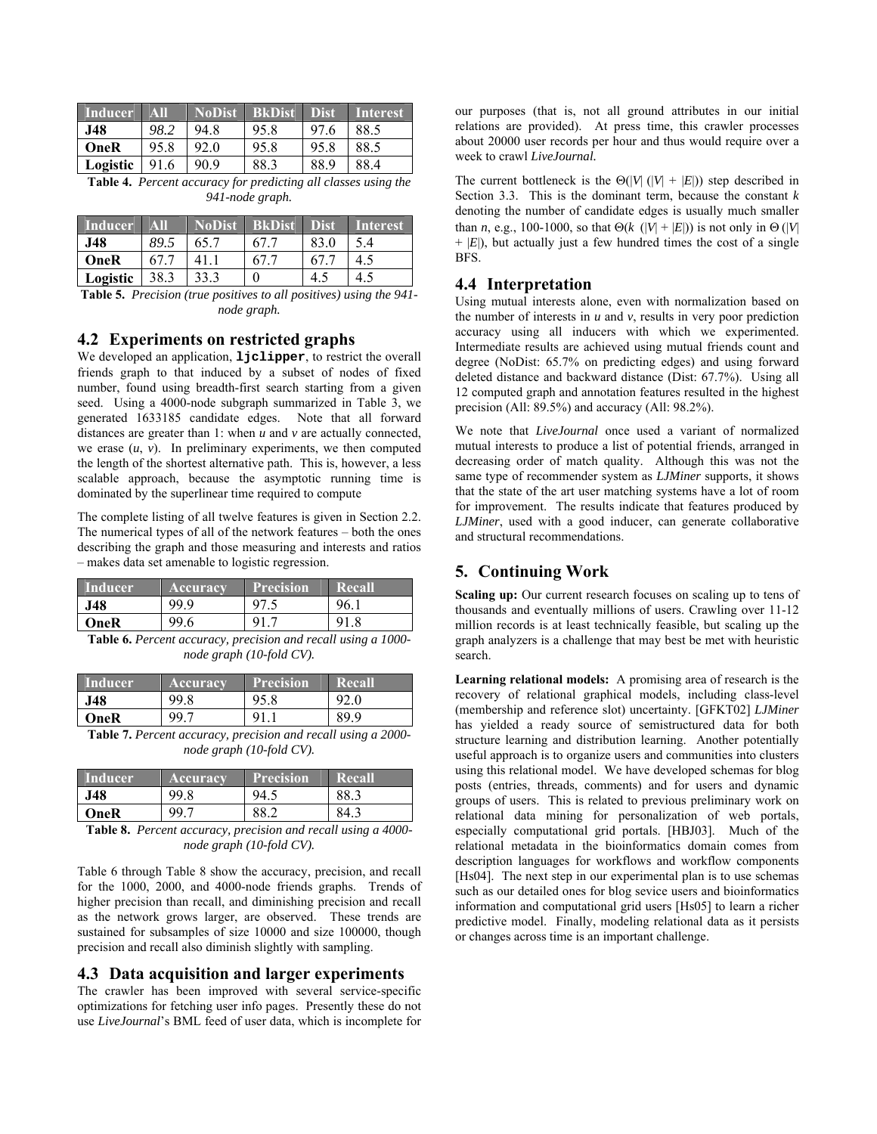| <b>Inducer</b> | $\mathbf{All}$ |      | NoDist BkDist | <b>Dist</b> | Interest |
|----------------|----------------|------|---------------|-------------|----------|
| J48            | 98.2           | 94.8 | 95.8          | 97.6        | 88.5     |
| OneR           | 95.8           | 92.0 | 95.8          | 95.8        | 88.5     |
| Logistic       | 91.6           | 90.9 | 88.3          | 88.9        | 88.4     |

**Table 4.** *Percent accuracy for predicting all classes using the 941-node graph.*

| Inducer    | <b>All</b> |      | NoDist BkDist Dist |      | 'Interest |
|------------|------------|------|--------------------|------|-----------|
| <b>J48</b> | 89.5       | 65.7 | 67 ′               | 83.0 | 5.4       |
| OneR       |            |      | 67.                | 67   | 4.5       |
| Logistic   | 38.3       | 33.3 |                    | 4.   | 4.5       |

**Table 5.** *Precision (true positives to all positives) using the 941 node graph.*

## **4.2 Experiments on restricted graphs**

We developed an application, **ljclipper**, to restrict the overall friends graph to that induced by a subset of nodes of fixed number, found using breadth-first search starting from a given seed. Using a 4000-node subgraph summarized in Table 3, we generated 1633185 candidate edges. Note that all forward distances are greater than 1: when *u* and *v* are actually connected, we erase  $(u, v)$ . In preliminary experiments, we then computed the length of the shortest alternative path. This is, however, a less scalable approach, because the asymptotic running time is dominated by the superlinear time required to compute

The complete listing of all twelve features is given in Section 2.2. The numerical types of all of the network features – both the ones describing the graph and those measuring and interests and ratios – makes data set amenable to logistic regression.

| <b>Inducer</b> | Accuracv | <b>Precision</b> | Recall |
|----------------|----------|------------------|--------|
| <b>J48</b>     | gg g     | 97               |        |
| OneR           |          | Q1               |        |

**Table 6.** *Percent accuracy, precision and recall using a 1000 node graph (10-fold CV).*

| <b>Inducer</b> | Accuracy | <b>Precision</b> | Recall |
|----------------|----------|------------------|--------|
| <b>J48</b>     | 99.8     | 95.8             |        |
| OneR           | . qq     |                  | 89.9   |

**Table 7.** *Percent accuracy, precision and recall using a 2000 node graph (10-fold CV).*

| <b>Inducer</b> | Accuracy | <b>Precision</b> | Recall |
|----------------|----------|------------------|--------|
| J48            | 99.8     | 94.1             |        |
| OneR           | 99.      |                  |        |
|                |          |                  | .      |

**Table 8.** *Percent accuracy, precision and recall using a 4000 node graph (10-fold CV).*

Table 6 through Table 8 show the accuracy, precision, and recall for the 1000, 2000, and 4000-node friends graphs. Trends of higher precision than recall, and diminishing precision and recall as the network grows larger, are observed. These trends are sustained for subsamples of size 10000 and size 100000, though precision and recall also diminish slightly with sampling.

#### **4.3 Data acquisition and larger experiments**

The crawler has been improved with several service-specific optimizations for fetching user info pages. Presently these do not use *LiveJournal*'s BML feed of user data, which is incomplete for

our purposes (that is, not all ground attributes in our initial relations are provided). At press time, this crawler processes about 20000 user records per hour and thus would require over a week to crawl *LiveJournal.*

The current bottleneck is the  $\Theta(|V|(|V| + |E|))$  step described in Section 3.3. This is the dominant term, because the constant *k*  denoting the number of candidate edges is usually much smaller than *n*, e.g., 100-1000, so that  $\Theta(k \ (|V| + |E|))$  is not only in  $\Theta(|V|)$  $+$   $|E|$ ), but actually just a few hundred times the cost of a single BFS.

## **4.4 Interpretation**

Using mutual interests alone, even with normalization based on the number of interests in  $u$  and  $v$ , results in very poor prediction accuracy using all inducers with which we experimented. Intermediate results are achieved using mutual friends count and degree (NoDist: 65.7% on predicting edges) and using forward deleted distance and backward distance (Dist: 67.7%). Using all 12 computed graph and annotation features resulted in the highest precision (All: 89.5%) and accuracy (All: 98.2%).

We note that *LiveJournal* once used a variant of normalized mutual interests to produce a list of potential friends, arranged in decreasing order of match quality. Although this was not the same type of recommender system as *LJMiner* supports, it shows that the state of the art user matching systems have a lot of room for improvement. The results indicate that features produced by *LJMiner*, used with a good inducer, can generate collaborative and structural recommendations.

# **5. Continuing Work**

**Scaling up:** Our current research focuses on scaling up to tens of thousands and eventually millions of users. Crawling over 11-12 million records is at least technically feasible, but scaling up the graph analyzers is a challenge that may best be met with heuristic search.

**Learning relational models:** A promising area of research is the recovery of relational graphical models, including class-level (membership and reference slot) uncertainty. [GFKT02] *LJMiner* has yielded a ready source of semistructured data for both structure learning and distribution learning. Another potentially useful approach is to organize users and communities into clusters using this relational model. We have developed schemas for blog posts (entries, threads, comments) and for users and dynamic groups of users. This is related to previous preliminary work on relational data mining for personalization of web portals, especially computational grid portals. [HBJ03]. Much of the relational metadata in the bioinformatics domain comes from description languages for workflows and workflow components [Hs04]. The next step in our experimental plan is to use schemas such as our detailed ones for blog sevice users and bioinformatics information and computational grid users [Hs05] to learn a richer predictive model. Finally, modeling relational data as it persists or changes across time is an important challenge.